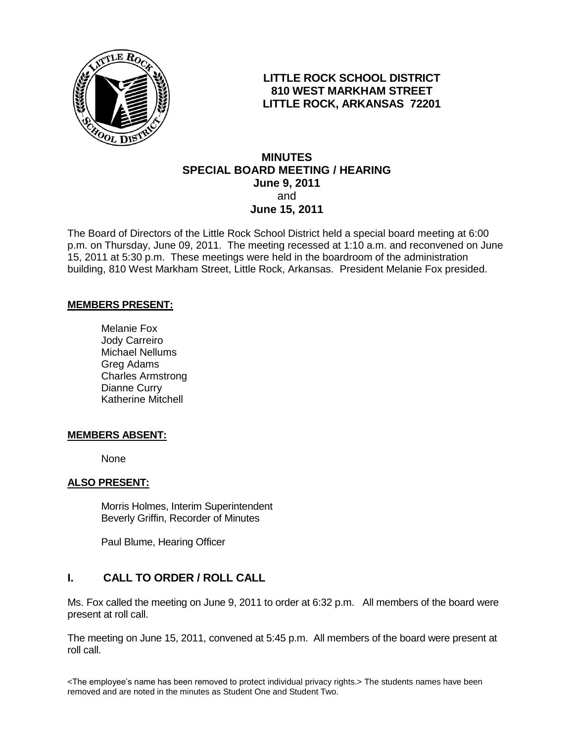

## **LITTLE ROCK SCHOOL DISTRICT 810 WEST MARKHAM STREET LITTLE ROCK, ARKANSAS 72201**

## **MINUTES SPECIAL BOARD MEETING / HEARING June 9, 2011** and **June 15, 2011**

The Board of Directors of the Little Rock School District held a special board meeting at 6:00 p.m. on Thursday, June 09, 2011. The meeting recessed at 1:10 a.m. and reconvened on June 15, 2011 at 5:30 p.m. These meetings were held in the boardroom of the administration building, 810 West Markham Street, Little Rock, Arkansas. President Melanie Fox presided.

### **MEMBERS PRESENT:**

Melanie Fox Jody Carreiro Michael Nellums Greg Adams Charles Armstrong Dianne Curry Katherine Mitchell

#### **MEMBERS ABSENT:**

None

### **ALSO PRESENT:**

 Morris Holmes, Interim Superintendent Beverly Griffin, Recorder of Minutes

Paul Blume, Hearing Officer

# **I. CALL TO ORDER / ROLL CALL**

Ms. Fox called the meeting on June 9, 2011 to order at 6:32 p.m. All members of the board were present at roll call.

The meeting on June 15, 2011, convened at 5:45 p.m. All members of the board were present at roll call.

<The employee's name has been removed to protect individual privacy rights.> The students names have been removed and are noted in the minutes as Student One and Student Two.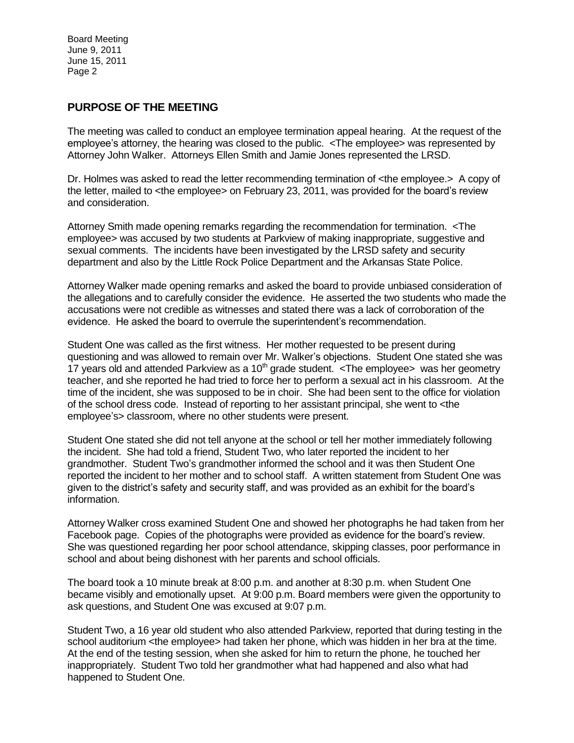## **PURPOSE OF THE MEETING**

The meeting was called to conduct an employee termination appeal hearing. At the request of the employee's attorney, the hearing was closed to the public. <The employee> was represented by Attorney John Walker. Attorneys Ellen Smith and Jamie Jones represented the LRSD.

Dr. Holmes was asked to read the letter recommending termination of <the employee.> A copy of the letter, mailed to <the employee> on February 23, 2011, was provided for the board's review and consideration.

Attorney Smith made opening remarks regarding the recommendation for termination. <The employee> was accused by two students at Parkview of making inappropriate, suggestive and sexual comments. The incidents have been investigated by the LRSD safety and security department and also by the Little Rock Police Department and the Arkansas State Police.

Attorney Walker made opening remarks and asked the board to provide unbiased consideration of the allegations and to carefully consider the evidence. He asserted the two students who made the accusations were not credible as witnesses and stated there was a lack of corroboration of the evidence. He asked the board to overrule the superintendent's recommendation.

Student One was called as the first witness. Her mother requested to be present during questioning and was allowed to remain over Mr. Walker's objections. Student One stated she was 17 years old and attended Parkview as a 10<sup>th</sup> grade student. <The employee> was her geometry teacher, and she reported he had tried to force her to perform a sexual act in his classroom. At the time of the incident, she was supposed to be in choir. She had been sent to the office for violation of the school dress code. Instead of reporting to her assistant principal, she went to <the employee's> classroom, where no other students were present.

Student One stated she did not tell anyone at the school or tell her mother immediately following the incident. She had told a friend, Student Two, who later reported the incident to her grandmother. Student Two's grandmother informed the school and it was then Student One reported the incident to her mother and to school staff. A written statement from Student One was given to the district's safety and security staff, and was provided as an exhibit for the board's information.

Attorney Walker cross examined Student One and showed her photographs he had taken from her Facebook page. Copies of the photographs were provided as evidence for the board's review. She was questioned regarding her poor school attendance, skipping classes, poor performance in school and about being dishonest with her parents and school officials.

The board took a 10 minute break at 8:00 p.m. and another at 8:30 p.m. when Student One became visibly and emotionally upset. At 9:00 p.m. Board members were given the opportunity to ask questions, and Student One was excused at 9:07 p.m.

Student Two, a 16 year old student who also attended Parkview, reported that during testing in the school auditorium <the employee> had taken her phone, which was hidden in her bra at the time. At the end of the testing session, when she asked for him to return the phone, he touched her inappropriately. Student Two told her grandmother what had happened and also what had happened to Student One.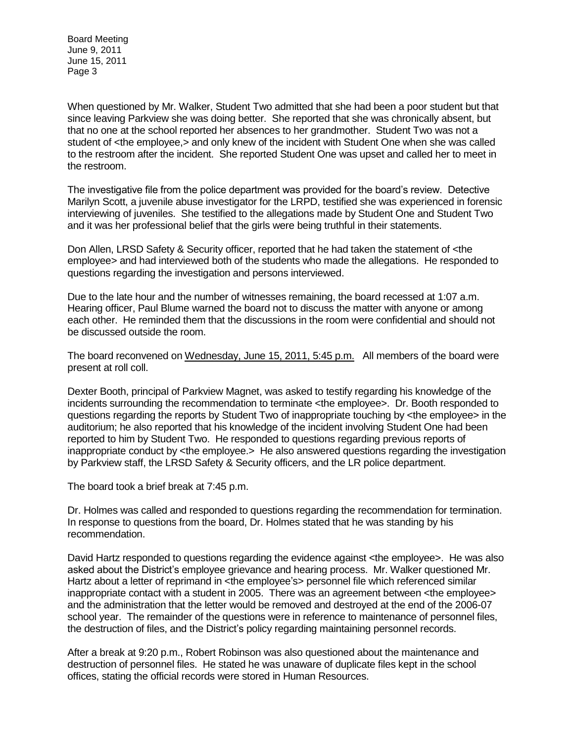When questioned by Mr. Walker, Student Two admitted that she had been a poor student but that since leaving Parkview she was doing better. She reported that she was chronically absent, but that no one at the school reported her absences to her grandmother. Student Two was not a student of <the employee,> and only knew of the incident with Student One when she was called to the restroom after the incident. She reported Student One was upset and called her to meet in the restroom.

The investigative file from the police department was provided for the board's review. Detective Marilyn Scott, a juvenile abuse investigator for the LRPD, testified she was experienced in forensic interviewing of juveniles. She testified to the allegations made by Student One and Student Two and it was her professional belief that the girls were being truthful in their statements.

Don Allen, LRSD Safety & Security officer, reported that he had taken the statement of <the employee> and had interviewed both of the students who made the allegations. He responded to questions regarding the investigation and persons interviewed.

Due to the late hour and the number of witnesses remaining, the board recessed at 1:07 a.m. Hearing officer, Paul Blume warned the board not to discuss the matter with anyone or among each other. He reminded them that the discussions in the room were confidential and should not be discussed outside the room.

The board reconvened on Wednesday, June 15, 2011, 5:45 p.m. All members of the board were present at roll coll.

Dexter Booth, principal of Parkview Magnet, was asked to testify regarding his knowledge of the incidents surrounding the recommendation to terminate <the employee>. Dr. Booth responded to questions regarding the reports by Student Two of inappropriate touching by <the employee> in the auditorium; he also reported that his knowledge of the incident involving Student One had been reported to him by Student Two. He responded to questions regarding previous reports of inappropriate conduct by <the employee.> He also answered questions regarding the investigation by Parkview staff, the LRSD Safety & Security officers, and the LR police department.

The board took a brief break at 7:45 p.m.

Dr. Holmes was called and responded to questions regarding the recommendation for termination. In response to questions from the board, Dr. Holmes stated that he was standing by his recommendation.

David Hartz responded to questions regarding the evidence against <the employee>. He was also asked about the District's employee grievance and hearing process. Mr. Walker questioned Mr. Hartz about a letter of reprimand in <the employee's> personnel file which referenced similar inappropriate contact with a student in 2005. There was an agreement between <the employee> and the administration that the letter would be removed and destroyed at the end of the 2006-07 school year. The remainder of the questions were in reference to maintenance of personnel files, the destruction of files, and the District's policy regarding maintaining personnel records.

After a break at 9:20 p.m., Robert Robinson was also questioned about the maintenance and destruction of personnel files. He stated he was unaware of duplicate files kept in the school offices, stating the official records were stored in Human Resources.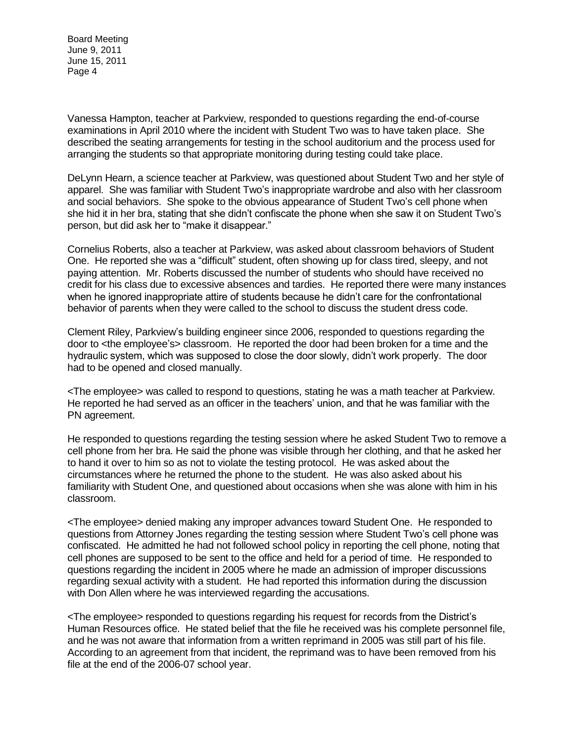Vanessa Hampton, teacher at Parkview, responded to questions regarding the end-of-course examinations in April 2010 where the incident with Student Two was to have taken place. She described the seating arrangements for testing in the school auditorium and the process used for arranging the students so that appropriate monitoring during testing could take place.

DeLynn Hearn, a science teacher at Parkview, was questioned about Student Two and her style of apparel. She was familiar with Student Two's inappropriate wardrobe and also with her classroom and social behaviors. She spoke to the obvious appearance of Student Two's cell phone when she hid it in her bra, stating that she didn't confiscate the phone when she saw it on Student Two's person, but did ask her to "make it disappear."

Cornelius Roberts, also a teacher at Parkview, was asked about classroom behaviors of Student One. He reported she was a "difficult" student, often showing up for class tired, sleepy, and not paying attention. Mr. Roberts discussed the number of students who should have received no credit for his class due to excessive absences and tardies. He reported there were many instances when he ignored inappropriate attire of students because he didn't care for the confrontational behavior of parents when they were called to the school to discuss the student dress code.

Clement Riley, Parkview's building engineer since 2006, responded to questions regarding the door to <the employee's> classroom. He reported the door had been broken for a time and the hydraulic system, which was supposed to close the door slowly, didn't work properly. The door had to be opened and closed manually.

<The employee> was called to respond to questions, stating he was a math teacher at Parkview. He reported he had served as an officer in the teachers' union, and that he was familiar with the PN agreement.

He responded to questions regarding the testing session where he asked Student Two to remove a cell phone from her bra. He said the phone was visible through her clothing, and that he asked her to hand it over to him so as not to violate the testing protocol. He was asked about the circumstances where he returned the phone to the student. He was also asked about his familiarity with Student One, and questioned about occasions when she was alone with him in his classroom.

<The employee> denied making any improper advances toward Student One. He responded to questions from Attorney Jones regarding the testing session where Student Two's cell phone was confiscated. He admitted he had not followed school policy in reporting the cell phone, noting that cell phones are supposed to be sent to the office and held for a period of time. He responded to questions regarding the incident in 2005 where he made an admission of improper discussions regarding sexual activity with a student. He had reported this information during the discussion with Don Allen where he was interviewed regarding the accusations.

<The employee> responded to questions regarding his request for records from the District's Human Resources office. He stated belief that the file he received was his complete personnel file, and he was not aware that information from a written reprimand in 2005 was still part of his file. According to an agreement from that incident, the reprimand was to have been removed from his file at the end of the 2006-07 school year.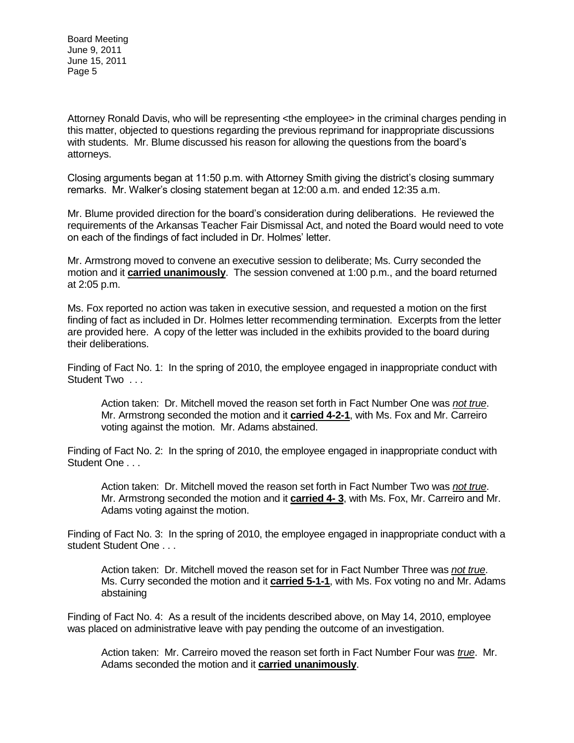Attorney Ronald Davis, who will be representing <the employee> in the criminal charges pending in this matter, objected to questions regarding the previous reprimand for inappropriate discussions with students. Mr. Blume discussed his reason for allowing the questions from the board's attorneys.

Closing arguments began at 11:50 p.m. with Attorney Smith giving the district's closing summary remarks. Mr. Walker's closing statement began at 12:00 a.m. and ended 12:35 a.m.

Mr. Blume provided direction for the board's consideration during deliberations. He reviewed the requirements of the Arkansas Teacher Fair Dismissal Act, and noted the Board would need to vote on each of the findings of fact included in Dr. Holmes' letter.

Mr. Armstrong moved to convene an executive session to deliberate; Ms. Curry seconded the motion and it **carried unanimously**. The session convened at 1:00 p.m., and the board returned at 2:05 p.m.

Ms. Fox reported no action was taken in executive session, and requested a motion on the first finding of fact as included in Dr. Holmes letter recommending termination. Excerpts from the letter are provided here. A copy of the letter was included in the exhibits provided to the board during their deliberations.

Finding of Fact No. 1: In the spring of 2010, the employee engaged in inappropriate conduct with Student Two ...

Action taken: Dr. Mitchell moved the reason set forth in Fact Number One was *not true*. Mr. Armstrong seconded the motion and it **carried 4-2-1**, with Ms. Fox and Mr. Carreiro voting against the motion. Mr. Adams abstained.

Finding of Fact No. 2: In the spring of 2010, the employee engaged in inappropriate conduct with Student One . . .

Action taken: Dr. Mitchell moved the reason set forth in Fact Number Two was *not true*. Mr. Armstrong seconded the motion and it **carried 4- 3**, with Ms. Fox, Mr. Carreiro and Mr. Adams voting against the motion.

Finding of Fact No. 3: In the spring of 2010, the employee engaged in inappropriate conduct with a student Student One . . .

Action taken: Dr. Mitchell moved the reason set for in Fact Number Three was *not true*. Ms. Curry seconded the motion and it **carried 5-1-1**, with Ms. Fox voting no and Mr. Adams abstaining

Finding of Fact No. 4: As a result of the incidents described above, on May 14, 2010, employee was placed on administrative leave with pay pending the outcome of an investigation.

Action taken: Mr. Carreiro moved the reason set forth in Fact Number Four was *true*. Mr. Adams seconded the motion and it **carried unanimously**.